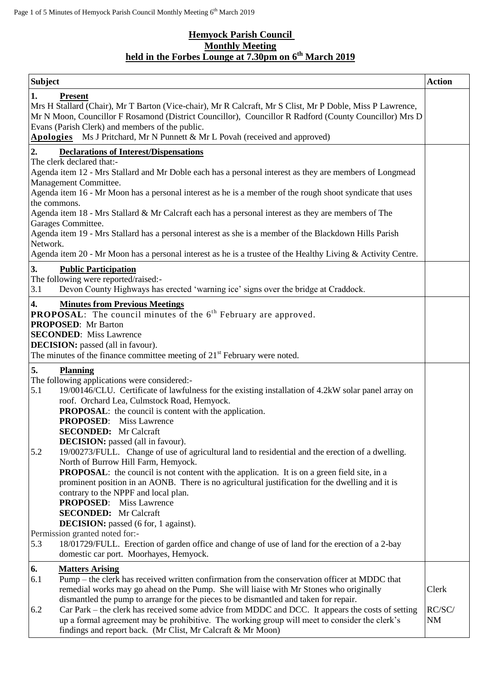## **Hemyock Parish Council Monthly Meeting held in the Forbes Lounge at 7.30pm on 6 th March 2019**

| Subject                                                                                                                                                                                                                                                                                                                                                                                                                                                                                                                                                                                                                                                                                                                                                                                                                                                                                                                                                                                                                                                                                                                      | <b>Action</b>                |
|------------------------------------------------------------------------------------------------------------------------------------------------------------------------------------------------------------------------------------------------------------------------------------------------------------------------------------------------------------------------------------------------------------------------------------------------------------------------------------------------------------------------------------------------------------------------------------------------------------------------------------------------------------------------------------------------------------------------------------------------------------------------------------------------------------------------------------------------------------------------------------------------------------------------------------------------------------------------------------------------------------------------------------------------------------------------------------------------------------------------------|------------------------------|
| 1.<br><b>Present</b><br>Mrs H Stallard (Chair), Mr T Barton (Vice-chair), Mr R Calcraft, Mr S Clist, Mr P Doble, Miss P Lawrence,<br>Mr N Moon, Councillor F Rosamond (District Councillor), Councillor R Radford (County Councillor) Mrs D<br>Evans (Parish Clerk) and members of the public.<br>Apologies Ms J Pritchard, Mr N Punnett & Mr L Povah (received and approved)                                                                                                                                                                                                                                                                                                                                                                                                                                                                                                                                                                                                                                                                                                                                                |                              |
| 2.<br><b>Declarations of Interest/Dispensations</b><br>The clerk declared that:-<br>Agenda item 12 - Mrs Stallard and Mr Doble each has a personal interest as they are members of Longmead<br>Management Committee.<br>Agenda item 16 - Mr Moon has a personal interest as he is a member of the rough shoot syndicate that uses<br>the commons.<br>Agenda item 18 - Mrs Stallard & Mr Calcraft each has a personal interest as they are members of The<br>Garages Committee.<br>Agenda item 19 - Mrs Stallard has a personal interest as she is a member of the Blackdown Hills Parish<br>Network.<br>Agenda item 20 - Mr Moon has a personal interest as he is a trustee of the Healthy Living & Activity Centre.                                                                                                                                                                                                                                                                                                                                                                                                         |                              |
| 3.<br><b>Public Participation</b><br>The following were reported/raised:-<br>Devon County Highways has erected 'warning ice' signs over the bridge at Craddock.<br>3.1                                                                                                                                                                                                                                                                                                                                                                                                                                                                                                                                                                                                                                                                                                                                                                                                                                                                                                                                                       |                              |
| 4.<br><b>Minutes from Previous Meetings</b><br><b>PROPOSAL:</b> The council minutes of the $6th$ February are approved.<br><b>PROPOSED:</b> Mr Barton<br><b>SECONDED:</b> Miss Lawrence<br><b>DECISION:</b> passed (all in favour).<br>The minutes of the finance committee meeting of $21st$ February were noted.                                                                                                                                                                                                                                                                                                                                                                                                                                                                                                                                                                                                                                                                                                                                                                                                           |                              |
| 5.<br><b>Planning</b><br>The following applications were considered:-<br>19/00146/CLU. Certificate of lawfulness for the existing installation of 4.2kW solar panel array on<br>5.1<br>roof. Orchard Lea, Culmstock Road, Hemyock.<br><b>PROPOSAL:</b> the council is content with the application.<br><b>PROPOSED:</b> Miss Lawrence<br><b>SECONDED:</b> Mr Calcraft<br><b>DECISION:</b> passed (all in favour).<br>19/00273/FULL. Change of use of agricultural land to residential and the erection of a dwelling.<br>5.2<br>North of Burrow Hill Farm, Hemyock.<br><b>PROPOSAL:</b> the council is not content with the application. It is on a green field site, in a<br>prominent position in an AONB. There is no agricultural justification for the dwelling and it is<br>contrary to the NPPF and local plan.<br><b>PROPOSED:</b> Miss Lawrence<br><b>SECONDED:</b> Mr Calcraft<br><b>DECISION:</b> passed (6 for, 1 against).<br>Permission granted noted for:-<br>18/01729/FULL. Erection of garden office and change of use of land for the erection of a 2-bay<br>5.3<br>domestic car port. Moorhayes, Hemyock. |                              |
| 6.<br><b>Matters Arising</b><br>Pump – the clerk has received written confirmation from the conservation officer at MDDC that<br>6.1<br>remedial works may go ahead on the Pump. She will liaise with Mr Stones who originally<br>dismantled the pump to arrange for the pieces to be dismantled and taken for repair.<br>Car Park – the clerk has received some advice from MDDC and DCC. It appears the costs of setting<br>6.2<br>up a formal agreement may be prohibitive. The working group will meet to consider the clerk's<br>findings and report back. (Mr Clist, Mr Calcraft & Mr Moon)                                                                                                                                                                                                                                                                                                                                                                                                                                                                                                                            | Clerk<br>RC/SC/<br><b>NM</b> |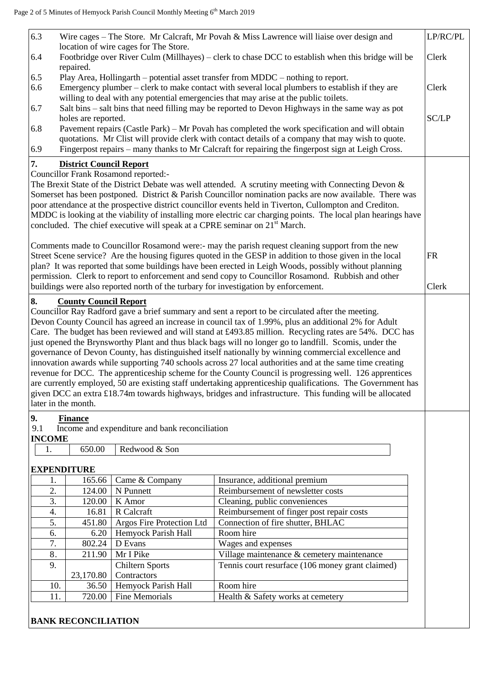| 6.3                                                                                                      | LP/RC/PL<br>Wire cages - The Store. Mr Calcraft, Mr Povah & Miss Lawrence will liaise over design and                                      |                                                                                        |                                                                                                                                                                                                              |           |
|----------------------------------------------------------------------------------------------------------|--------------------------------------------------------------------------------------------------------------------------------------------|----------------------------------------------------------------------------------------|--------------------------------------------------------------------------------------------------------------------------------------------------------------------------------------------------------------|-----------|
|                                                                                                          | location of wire cages for The Store.<br>Footbridge over River Culm (Millhayes) - clerk to chase DCC to establish when this bridge will be |                                                                                        |                                                                                                                                                                                                              | Clerk     |
| 6.4                                                                                                      | repaired.                                                                                                                                  |                                                                                        |                                                                                                                                                                                                              |           |
| 6.5                                                                                                      |                                                                                                                                            |                                                                                        | Play Area, Hollingarth – potential asset transfer from MDDC – nothing to report.                                                                                                                             |           |
| 6.6                                                                                                      |                                                                                                                                            |                                                                                        | Emergency plumber – clerk to make contact with several local plumbers to establish if they are                                                                                                               | Clerk     |
|                                                                                                          |                                                                                                                                            |                                                                                        | willing to deal with any potential emergencies that may arise at the public toilets.                                                                                                                         |           |
| 6.7                                                                                                      |                                                                                                                                            |                                                                                        | Salt bins – salt bins that need filling may be reported to Devon Highways in the same way as pot                                                                                                             |           |
|                                                                                                          | holes are reported.                                                                                                                        |                                                                                        |                                                                                                                                                                                                              | SC/LP     |
| 6.8                                                                                                      |                                                                                                                                            |                                                                                        | Pavement repairs (Castle Park) – Mr Povah has completed the work specification and will obtain<br>quotations. Mr Clist will provide clerk with contact details of a company that may wish to quote.          |           |
| 6.9                                                                                                      |                                                                                                                                            |                                                                                        | Fingerpost repairs – many thanks to Mr Calcraft for repairing the fingerpost sign at Leigh Cross.                                                                                                            |           |
| 7.                                                                                                       | <b>District Council Report</b>                                                                                                             |                                                                                        |                                                                                                                                                                                                              |           |
|                                                                                                          |                                                                                                                                            | Councillor Frank Rosamond reported:-                                                   |                                                                                                                                                                                                              |           |
|                                                                                                          |                                                                                                                                            |                                                                                        | The Brexit State of the District Debate was well attended. A scrutiny meeting with Connecting Devon $\&$                                                                                                     |           |
|                                                                                                          |                                                                                                                                            |                                                                                        | Somerset has been postponed. District & Parish Councillor nomination packs are now available. There was                                                                                                      |           |
|                                                                                                          |                                                                                                                                            |                                                                                        | poor attendance at the prospective district councillor events held in Tiverton, Cullompton and Crediton.                                                                                                     |           |
|                                                                                                          |                                                                                                                                            |                                                                                        | MDDC is looking at the viability of installing more electric car charging points. The local plan hearings have                                                                                               |           |
|                                                                                                          |                                                                                                                                            | concluded. The chief executive will speak at a CPRE seminar on 21 <sup>st</sup> March. |                                                                                                                                                                                                              |           |
|                                                                                                          |                                                                                                                                            |                                                                                        |                                                                                                                                                                                                              |           |
|                                                                                                          |                                                                                                                                            |                                                                                        | Comments made to Councillor Rosamond were:- may the parish request cleaning support from the new<br>Street Scene service? Are the housing figures quoted in the GESP in addition to those given in the local | <b>FR</b> |
|                                                                                                          |                                                                                                                                            |                                                                                        | plan? It was reported that some buildings have been erected in Leigh Woods, possibly without planning                                                                                                        |           |
|                                                                                                          |                                                                                                                                            |                                                                                        | permission. Clerk to report to enforcement and send copy to Councillor Rosamond. Rubbish and other                                                                                                           |           |
|                                                                                                          |                                                                                                                                            |                                                                                        | buildings were also reported north of the turbary for investigation by enforcement.                                                                                                                          | Clerk     |
| 8.                                                                                                       | <b>County Council Report</b>                                                                                                               |                                                                                        |                                                                                                                                                                                                              |           |
|                                                                                                          |                                                                                                                                            |                                                                                        | Councillor Ray Radford gave a brief summary and sent a report to be circulated after the meeting.                                                                                                            |           |
|                                                                                                          |                                                                                                                                            |                                                                                        | Devon County Council has agreed an increase in council tax of 1.99%, plus an additional 2% for Adult                                                                                                         |           |
|                                                                                                          |                                                                                                                                            |                                                                                        | Care. The budget has been reviewed and will stand at £493.85 million. Recycling rates are $54\%$ . DCC has                                                                                                   |           |
|                                                                                                          |                                                                                                                                            |                                                                                        | just opened the Brynsworthy Plant and thus black bags will no longer go to landfill. Scomis, under the                                                                                                       |           |
|                                                                                                          |                                                                                                                                            |                                                                                        | governance of Devon County, has distinguished itself nationally by winning commercial excellence and                                                                                                         |           |
| innovation awards while supporting 740 schools across 27 local authorities and at the same time creating |                                                                                                                                            |                                                                                        |                                                                                                                                                                                                              |           |
|                                                                                                          |                                                                                                                                            |                                                                                        | revenue for DCC. The apprenticeship scheme for the County Council is progressing well. 126 apprentices                                                                                                       |           |
|                                                                                                          |                                                                                                                                            |                                                                                        | are currently employed, 50 are existing staff undertaking apprenticeship qualifications. The Government has                                                                                                  |           |
|                                                                                                          |                                                                                                                                            |                                                                                        | given DCC an extra £18.74m towards highways, bridges and infrastructure. This funding will be allocated                                                                                                      |           |
| later in the month.                                                                                      |                                                                                                                                            |                                                                                        |                                                                                                                                                                                                              |           |
| 9.                                                                                                       | <b>Finance</b>                                                                                                                             |                                                                                        |                                                                                                                                                                                                              |           |
| 9.1<br><b>INCOME</b>                                                                                     |                                                                                                                                            | Income and expenditure and bank reconciliation                                         |                                                                                                                                                                                                              |           |
| 1.                                                                                                       | 650.00                                                                                                                                     | Redwood & Son                                                                          |                                                                                                                                                                                                              |           |
|                                                                                                          |                                                                                                                                            |                                                                                        |                                                                                                                                                                                                              |           |
| <b>EXPENDITURE</b>                                                                                       |                                                                                                                                            |                                                                                        |                                                                                                                                                                                                              |           |
| 1.                                                                                                       | 165.66                                                                                                                                     | Came & Company                                                                         | Insurance, additional premium                                                                                                                                                                                |           |
| 2.<br>$\overline{3}$ .                                                                                   | 124.00<br>120.00                                                                                                                           | N Punnett<br>K Amor                                                                    | Reimbursement of newsletter costs                                                                                                                                                                            |           |
| 4.                                                                                                       | 16.81                                                                                                                                      | R Calcraft                                                                             | Cleaning, public conveniences<br>Reimbursement of finger post repair costs                                                                                                                                   |           |
| 5.                                                                                                       | 451.80                                                                                                                                     | Argos Fire Protection Ltd                                                              | Connection of fire shutter, BHLAC                                                                                                                                                                            |           |
| 6.                                                                                                       | 6.20                                                                                                                                       | Hemyock Parish Hall                                                                    | Room hire                                                                                                                                                                                                    |           |
| 7.                                                                                                       | 802.24                                                                                                                                     | D Evans                                                                                | Wages and expenses                                                                                                                                                                                           |           |
| 8.                                                                                                       | 211.90                                                                                                                                     | Mr I Pike                                                                              | Village maintenance & cemetery maintenance                                                                                                                                                                   |           |
| 9.                                                                                                       |                                                                                                                                            | <b>Chiltern Sports</b>                                                                 | Tennis court resurface (106 money grant claimed)                                                                                                                                                             |           |
|                                                                                                          | 23,170.80                                                                                                                                  | Contractors                                                                            |                                                                                                                                                                                                              |           |
| 10.                                                                                                      | 36.50                                                                                                                                      | Hemyock Parish Hall                                                                    | Room hire                                                                                                                                                                                                    |           |
| 11.                                                                                                      | 720.00                                                                                                                                     | <b>Fine Memorials</b>                                                                  | Health & Safety works at cemetery                                                                                                                                                                            |           |
|                                                                                                          |                                                                                                                                            |                                                                                        |                                                                                                                                                                                                              |           |
| <b>BANK RECONCILIATION</b>                                                                               |                                                                                                                                            |                                                                                        |                                                                                                                                                                                                              |           |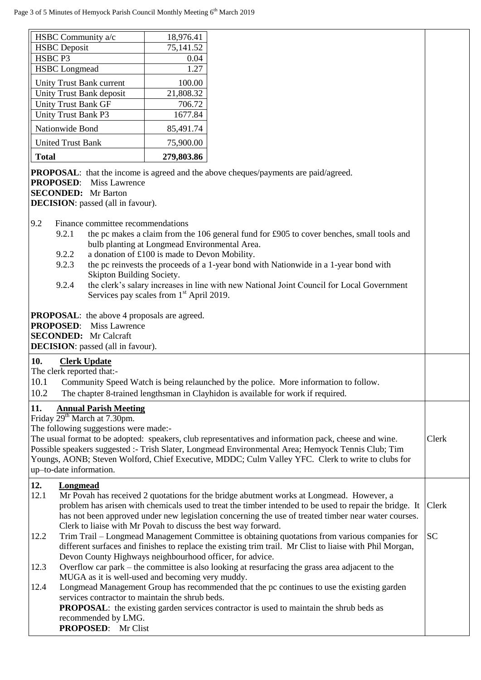| HSBC Community a/c                                                                                                                                                                                                                                                                                                                                                                                                                                                                                                                                    | 18,976.41  |                                                                                                                                                                                                                                                                                                                                                                                                                                                                                                              |                    |
|-------------------------------------------------------------------------------------------------------------------------------------------------------------------------------------------------------------------------------------------------------------------------------------------------------------------------------------------------------------------------------------------------------------------------------------------------------------------------------------------------------------------------------------------------------|------------|--------------------------------------------------------------------------------------------------------------------------------------------------------------------------------------------------------------------------------------------------------------------------------------------------------------------------------------------------------------------------------------------------------------------------------------------------------------------------------------------------------------|--------------------|
| <b>HSBC</b> Deposit                                                                                                                                                                                                                                                                                                                                                                                                                                                                                                                                   | 75,141.52  |                                                                                                                                                                                                                                                                                                                                                                                                                                                                                                              |                    |
| HSBC <sub>P3</sub>                                                                                                                                                                                                                                                                                                                                                                                                                                                                                                                                    | 0.04       |                                                                                                                                                                                                                                                                                                                                                                                                                                                                                                              |                    |
| <b>HSBC</b> Longmead                                                                                                                                                                                                                                                                                                                                                                                                                                                                                                                                  | 1.27       |                                                                                                                                                                                                                                                                                                                                                                                                                                                                                                              |                    |
| Unity Trust Bank current                                                                                                                                                                                                                                                                                                                                                                                                                                                                                                                              | 100.00     |                                                                                                                                                                                                                                                                                                                                                                                                                                                                                                              |                    |
| Unity Trust Bank deposit                                                                                                                                                                                                                                                                                                                                                                                                                                                                                                                              | 21,808.32  |                                                                                                                                                                                                                                                                                                                                                                                                                                                                                                              |                    |
| <b>Unity Trust Bank GF</b>                                                                                                                                                                                                                                                                                                                                                                                                                                                                                                                            | 706.72     |                                                                                                                                                                                                                                                                                                                                                                                                                                                                                                              |                    |
| <b>Unity Trust Bank P3</b>                                                                                                                                                                                                                                                                                                                                                                                                                                                                                                                            | 1677.84    |                                                                                                                                                                                                                                                                                                                                                                                                                                                                                                              |                    |
| Nationwide Bond                                                                                                                                                                                                                                                                                                                                                                                                                                                                                                                                       | 85,491.74  |                                                                                                                                                                                                                                                                                                                                                                                                                                                                                                              |                    |
| <b>United Trust Bank</b>                                                                                                                                                                                                                                                                                                                                                                                                                                                                                                                              | 75,900.00  |                                                                                                                                                                                                                                                                                                                                                                                                                                                                                                              |                    |
| <b>Total</b>                                                                                                                                                                                                                                                                                                                                                                                                                                                                                                                                          | 279,803.86 |                                                                                                                                                                                                                                                                                                                                                                                                                                                                                                              |                    |
| <b>PROPOSED:</b><br><b>Miss Lawrence</b><br><b>SECONDED:</b> Mr Barton<br><b>DECISION:</b> passed (all in favour).                                                                                                                                                                                                                                                                                                                                                                                                                                    |            | <b>PROPOSAL:</b> that the income is agreed and the above cheques/payments are paid/agreed.                                                                                                                                                                                                                                                                                                                                                                                                                   |                    |
| 9.2<br>Finance committee recommendations<br>9.2.1<br>the pc makes a claim from the 106 general fund for £905 to cover benches, small tools and<br>bulb planting at Longmead Environmental Area.<br>9.2.2<br>a donation of £100 is made to Devon Mobility.<br>9.2.3<br>the pc reinvests the proceeds of a 1-year bond with Nationwide in a 1-year bond with<br>Skipton Building Society.<br>the clerk's salary increases in line with new National Joint Council for Local Government<br>9.2.4<br>Services pay scales from 1 <sup>st</sup> April 2019. |            |                                                                                                                                                                                                                                                                                                                                                                                                                                                                                                              |                    |
| <b>PROPOSAL:</b> the above 4 proposals are agreed.<br><b>Miss Lawrence</b><br><b>PROPOSED:</b><br><b>SECONDED:</b> Mr Calcraft<br><b>DECISION</b> : passed (all in favour).<br>10.<br><b>Clerk Update</b><br>The clerk reported that:-<br>10.1<br>10.2                                                                                                                                                                                                                                                                                                |            | Community Speed Watch is being relaunched by the police. More information to follow.<br>The chapter 8-trained lengthsman in Clayhidon is available for work if required.                                                                                                                                                                                                                                                                                                                                     |                    |
| 11.<br><b>Annual Parish Meeting</b><br>Friday 29 <sup>th</sup> March at 7.30pm.<br>The following suggestions were made:-<br>up-to-date information.                                                                                                                                                                                                                                                                                                                                                                                                   |            | The usual format to be adopted: speakers, club representatives and information pack, cheese and wine.<br>Possible speakers suggested :- Trish Slater, Longmead Environmental Area; Hemyock Tennis Club; Tim<br>Youngs, AONB; Steven Wolford, Chief Executive, MDDC; Culm Valley YFC. Clerk to write to clubs for                                                                                                                                                                                             | Clerk              |
| 12.<br><b>Longmead</b><br>12.1<br>Mr Povah has received 2 quotations for the bridge abutment works at Longmead. However, a<br>problem has arisen with chemicals used to treat the timber intended to be used to repair the bridge. It<br>has not been approved under new legislation concerning the use of treated timber near water courses.<br>Clerk to liaise with Mr Povah to discuss the best way forward.                                                                                                                                       |            |                                                                                                                                                                                                                                                                                                                                                                                                                                                                                                              | Clerk<br><b>SC</b> |
| 12.2<br>Devon County Highways neighbourhood officer, for advice.<br>12.3<br>MUGA as it is well-used and becoming very muddy.<br>12.4<br>services contractor to maintain the shrub beds.                                                                                                                                                                                                                                                                                                                                                               |            | Trim Trail - Longmead Management Committee is obtaining quotations from various companies for<br>different surfaces and finishes to replace the existing trim trail. Mr Clist to liaise with Phil Morgan,<br>Overflow car park – the committee is also looking at resurfacing the grass area adjacent to the<br>Longmead Management Group has recommended that the pc continues to use the existing garden<br><b>PROPOSAL:</b> the existing garden services contractor is used to maintain the shrub beds as |                    |
| recommended by LMG.                                                                                                                                                                                                                                                                                                                                                                                                                                                                                                                                   |            |                                                                                                                                                                                                                                                                                                                                                                                                                                                                                                              |                    |

**PROPOSED**: Mr Clist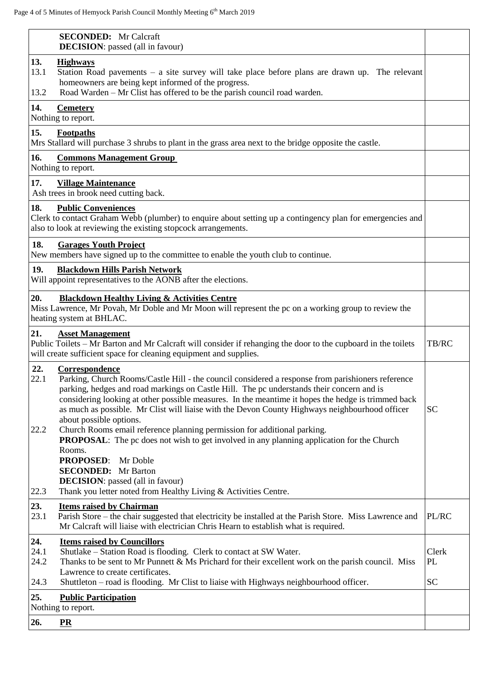| <b>SECONDED:</b> Mr Calcraft<br><b>DECISION</b> : passed (all in favour)                                                                                                                                                                                                                                                                                                                                                                                           |             |
|--------------------------------------------------------------------------------------------------------------------------------------------------------------------------------------------------------------------------------------------------------------------------------------------------------------------------------------------------------------------------------------------------------------------------------------------------------------------|-------------|
| 13.<br><b>Highways</b><br>13.1<br>Station Road pavements – a site survey will take place before plans are drawn up. The relevant<br>homeowners are being kept informed of the progress.<br>Road Warden – Mr Clist has offered to be the parish council road warden.<br>13.2                                                                                                                                                                                        |             |
| 14.<br><b>Cemetery</b><br>Nothing to report.                                                                                                                                                                                                                                                                                                                                                                                                                       |             |
| 15.<br><b>Footpaths</b><br>Mrs Stallard will purchase 3 shrubs to plant in the grass area next to the bridge opposite the castle.                                                                                                                                                                                                                                                                                                                                  |             |
| 16.<br><b>Commons Management Group</b><br>Nothing to report.                                                                                                                                                                                                                                                                                                                                                                                                       |             |
| 17.<br><b>Village Maintenance</b><br>Ash trees in brook need cutting back.                                                                                                                                                                                                                                                                                                                                                                                         |             |
| 18.<br><b>Public Conveniences</b><br>Clerk to contact Graham Webb (plumber) to enquire about setting up a contingency plan for emergencies and<br>also to look at reviewing the existing stopcock arrangements.                                                                                                                                                                                                                                                    |             |
| 18.<br><b>Garages Youth Project</b><br>New members have signed up to the committee to enable the youth club to continue.                                                                                                                                                                                                                                                                                                                                           |             |
| 19.<br><b>Blackdown Hills Parish Network</b><br>Will appoint representatives to the AONB after the elections.                                                                                                                                                                                                                                                                                                                                                      |             |
| 20.<br><b>Blackdown Healthy Living &amp; Activities Centre</b><br>Miss Lawrence, Mr Povah, Mr Doble and Mr Moon will represent the pc on a working group to review the<br>heating system at BHLAC.                                                                                                                                                                                                                                                                 |             |
| 21.<br><b>Asset Management</b><br>Public Toilets – Mr Barton and Mr Calcraft will consider if rehanging the door to the cupboard in the toilets<br>will create sufficient space for cleaning equipment and supplies.                                                                                                                                                                                                                                               | TB/RC       |
| 22.<br>Correspondence<br>22.1<br>Parking, Church Rooms/Castle Hill - the council considered a response from parishioners reference<br>parking, hedges and road markings on Castle Hill. The pc understands their concern and is<br>considering looking at other possible measures. In the meantime it hopes the hedge is trimmed back<br>as much as possible. Mr Clist will liaise with the Devon County Highways neighbourhood officer<br>about possible options. | <b>SC</b>   |
| Church Rooms email reference planning permission for additional parking.<br>22.2<br><b>PROPOSAL:</b> The pc does not wish to get involved in any planning application for the Church<br>Rooms.                                                                                                                                                                                                                                                                     |             |
| <b>PROPOSED:</b> Mr Doble<br><b>SECONDED:</b> Mr Barton<br><b>DECISION:</b> passed (all in favour)<br>22.3<br>Thank you letter noted from Healthy Living & Activities Centre.                                                                                                                                                                                                                                                                                      |             |
| 23.<br><b>Items raised by Chairman</b><br>23.1<br>Parish Store - the chair suggested that electricity be installed at the Parish Store. Miss Lawrence and                                                                                                                                                                                                                                                                                                          | PL/RC       |
| Mr Calcraft will liaise with electrician Chris Hearn to establish what is required.                                                                                                                                                                                                                                                                                                                                                                                |             |
| 24.<br><b>Items raised by Councillors</b><br>24.1<br>Shutlake - Station Road is flooding. Clerk to contact at SW Water.<br>24.2<br>Thanks to be sent to Mr Punnett & Ms Prichard for their excellent work on the parish council. Miss<br>Lawrence to create certificates.                                                                                                                                                                                          | Clerk<br>PL |
| 24.3<br>Shuttleton – road is flooding. Mr Clist to liaise with Highways neighbourhood officer.                                                                                                                                                                                                                                                                                                                                                                     | <b>SC</b>   |
| 25.<br><b>Public Participation</b><br>Nothing to report.                                                                                                                                                                                                                                                                                                                                                                                                           |             |
| 26.<br>$\underline{\mathbf{PR}}$                                                                                                                                                                                                                                                                                                                                                                                                                                   |             |